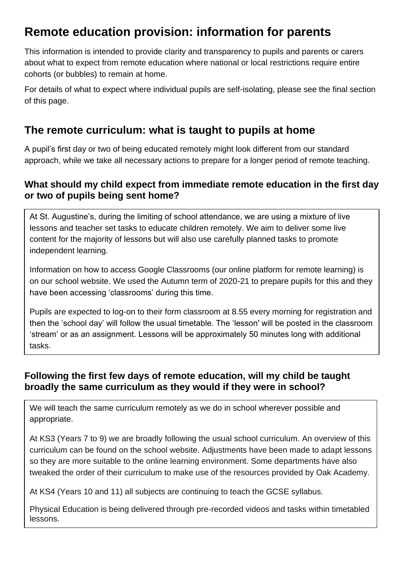# **Remote education provision: information for parents**

This information is intended to provide clarity and transparency to pupils and parents or carers about what to expect from remote education where national or local restrictions require entire cohorts (or bubbles) to remain at home.

For details of what to expect where individual pupils are self-isolating, please see the final section of this page.

# **The remote curriculum: what is taught to pupils at home**

A pupil's first day or two of being educated remotely might look different from our standard approach, while we take all necessary actions to prepare for a longer period of remote teaching.

## **What should my child expect from immediate remote education in the first day or two of pupils being sent home?**

At St. Augustine's, during the limiting of school attendance, we are using a mixture of live lessons and teacher set tasks to educate children remotely. We aim to deliver some live content for the majority of lessons but will also use carefully planned tasks to promote independent learning.

Information on how to access Google Classrooms (our online platform for remote learning) is on our school website. We used the Autumn term of 2020-21 to prepare pupils for this and they have been accessing 'classrooms' during this time.

Pupils are expected to log-on to their form classroom at 8.55 every morning for registration and then the 'school day' will follow the usual timetable. The 'lesson' will be posted in the classroom 'stream' or as an assignment. Lessons will be approximately 50 minutes long with additional tasks.

## **Following the first few days of remote education, will my child be taught broadly the same curriculum as they would if they were in school?**

We will teach the same curriculum remotely as we do in school wherever possible and appropriate.

At KS3 (Years 7 to 9) we are broadly following the usual school curriculum. An overview of this curriculum can be found on the school website. Adjustments have been made to adapt lessons so they are more suitable to the online learning environment. Some departments have also tweaked the order of their curriculum to make use of the resources provided by Oak Academy.

At KS4 (Years 10 and 11) all subjects are continuing to teach the GCSE syllabus.

Physical Education is being delivered through pre-recorded videos and tasks within timetabled lessons.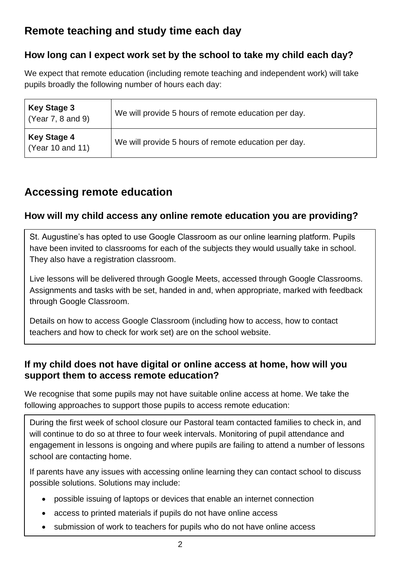# **Remote teaching and study time each day**

# **How long can I expect work set by the school to take my child each day?**

We expect that remote education (including remote teaching and independent work) will take pupils broadly the following number of hours each day:

| <b>Key Stage 3</b><br>(Year 7, 8 and 9) | We will provide 5 hours of remote education per day. |
|-----------------------------------------|------------------------------------------------------|
| <b>Key Stage 4</b><br>(Year 10 and 11)  | We will provide 5 hours of remote education per day. |

# **Accessing remote education**

# **How will my child access any online remote education you are providing?**

St. Augustine's has opted to use Google Classroom as our online learning platform. Pupils have been invited to classrooms for each of the subjects they would usually take in school. They also have a registration classroom.

Live lessons will be delivered through Google Meets, accessed through Google Classrooms. Assignments and tasks with be set, handed in and, when appropriate, marked with feedback through Google Classroom.

Details on how to access Google Classroom (including how to access, how to contact teachers and how to check for work set) are on the school website.

## **If my child does not have digital or online access at home, how will you support them to access remote education?**

We recognise that some pupils may not have suitable online access at home. We take the following approaches to support those pupils to access remote education:

During the first week of school closure our Pastoral team contacted families to check in, and will continue to do so at three to four week intervals. Monitoring of pupil attendance and engagement in lessons is ongoing and where pupils are failing to attend a number of lessons school are contacting home.

If parents have any issues with accessing online learning they can contact school to discuss possible solutions. Solutions may include:

- possible issuing of laptops or devices that enable an internet connection
- access to printed materials if pupils do not have online access
- submission of work to teachers for pupils who do not have online access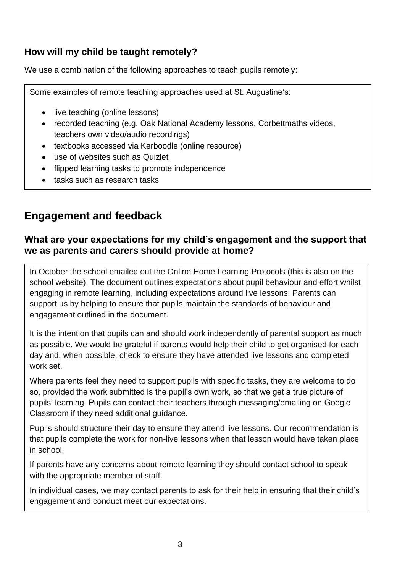## **How will my child be taught remotely?**

We use a combination of the following approaches to teach pupils remotely:

Some examples of remote teaching approaches used at St. Augustine's:

- live teaching (online lessons)
- recorded teaching (e.g. Oak National Academy lessons, Corbettmaths videos, teachers own video/audio recordings)
- textbooks accessed via Kerboodle (online resource)
- use of websites such as Quizlet
- flipped learning tasks to promote independence
- tasks such as research tasks

# **Engagement and feedback**

#### **What are your expectations for my child's engagement and the support that we as parents and carers should provide at home?**

In October the school emailed out the Online Home Learning Protocols (this is also on the school website). The document outlines expectations about pupil behaviour and effort whilst engaging in remote learning, including expectations around live lessons. Parents can support us by helping to ensure that pupils maintain the standards of behaviour and engagement outlined in the document.

It is the intention that pupils can and should work independently of parental support as much as possible. We would be grateful if parents would help their child to get organised for each day and, when possible, check to ensure they have attended live lessons and completed work set.

Where parents feel they need to support pupils with specific tasks, they are welcome to do so, provided the work submitted is the pupil's own work, so that we get a true picture of pupils' learning. Pupils can contact their teachers through messaging/emailing on Google Classroom if they need additional guidance.

Pupils should structure their day to ensure they attend live lessons. Our recommendation is that pupils complete the work for non-live lessons when that lesson would have taken place in school.

If parents have any concerns about remote learning they should contact school to speak with the appropriate member of staff.

In individual cases, we may contact parents to ask for their help in ensuring that their child's engagement and conduct meet our expectations.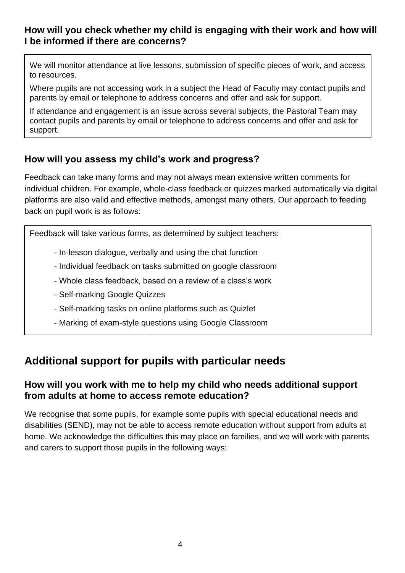## **How will you check whether my child is engaging with their work and how will I be informed if there are concerns?**

We will monitor attendance at live lessons, submission of specific pieces of work, and access to resources.

Where pupils are not accessing work in a subject the Head of Faculty may contact pupils and parents by email or telephone to address concerns and offer and ask for support.

If attendance and engagement is an issue across several subjects, the Pastoral Team may contact pupils and parents by email or telephone to address concerns and offer and ask for support.

## **How will you assess my child's work and progress?**

Feedback can take many forms and may not always mean extensive written comments for individual children. For example, whole-class feedback or quizzes marked automatically via digital platforms are also valid and effective methods, amongst many others. Our approach to feeding back on pupil work is as follows:

Feedback will take various forms, as determined by subject teachers:

- In-lesson dialogue, verbally and using the chat function
- Individual feedback on tasks submitted on google classroom
- Whole class feedback, based on a review of a class's work
- Self-marking Google Quizzes
- Self-marking tasks on online platforms such as Quizlet
- Marking of exam-style questions using Google Classroom

# **Additional support for pupils with particular needs**

## **How will you work with me to help my child who needs additional support from adults at home to access remote education?**

We recognise that some pupils, for example some pupils with special educational needs and disabilities (SEND), may not be able to access remote education without support from adults at home. We acknowledge the difficulties this may place on families, and we will work with parents and carers to support those pupils in the following ways: